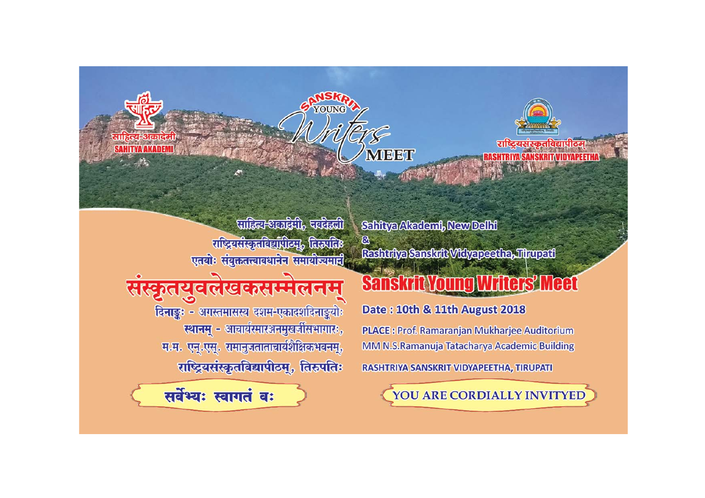



**SHTRIVA SANSKRIT VINVAPFFTI** 

पाहिल-अल्प्रहेगी, परसिली राष्ट्रियसंस्कृतविद्यापीठमु, तिरुप्रतिः एतयोः संयुक्ततत्त्वावधानेन समायोज्यमारी

सस्कृतयुवलखकसम्मलनम दिनाङ्कः - अगस्तमासस्य दशम-एकादशदिनाङ्कयोः स्थानम् - आचार्यस्मारञ्जनमुखर्जीसभागारः, म.म. एन्.एस्. रामानुजताताचार्यशैक्षिकभवनम्, राष्ट्रियसंस्कृतविद्यापीठम्, तिरुपतिः



Sahitya Altademi, New Delhi  $^{\circ}$ Reshutye Senskrit Wikyapesthe, Tihupeti

## **Sanskrit Young Writers' Meet**

Date: 10th & 11th August 2018

MEET

**PLACE: Prof. Ramaranjan Mukharjee Auditorium** MM N.S.Ramanuja Tatacharya Academic Building

RASHTRIYA SANSKRIT VIDYAPEETHA, TIRUPATI

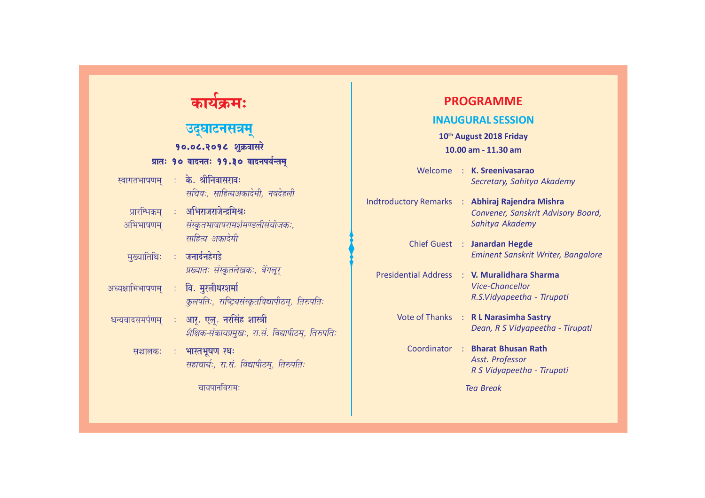| कायक्रमः                                                                                                      | <b>PROGRAMME</b>                                                                                         |
|---------------------------------------------------------------------------------------------------------------|----------------------------------------------------------------------------------------------------------|
| उद्घाटनसत्रम्<br>१०.०८.२०१८ शुक्रवासरे                                                                        | <b>INAUGURAL SESSION</b><br>10th August 2018 Friday<br>10.00 am - 11.30 am                               |
| प्रातः १० वादनतः ११.३० वादनपर्यन्तम्<br>: के. श्रीनिवासरावः<br>स्वागतभाषणम्<br>सचिवः, साहित्यअकादेमी, नवदेहली | Welcome: K. Sreenivasarao<br>Secretary, Sahitya Akademy                                                  |
| ः अभिराजराजेन्द्रमिश्रः<br>प्रारम्भिकम्<br>संस्कृतभाषापरामर्शमण्डलीसंयोजकः,<br>अभिभाषणम्<br>साहित्य अकादेमी   | Indtroductory Remarks : Abhiraj Rajendra Mishra<br>Convener, Sanskrit Advisory Board,<br>Sahitya Akademy |
| मुख्यातिथिः : जनार्दनहेगडे<br>प्रख्यातः संस्कृतलेखकः, बेंगलूर्                                                | Chief Guest : Janardan Hegde<br>Eminent Sanskrit Writer, Bangalore                                       |
| ः वि. मुरलीधरशर्मा<br>अध्यक्षाभिभाषणम्<br>कुलपतिः, राष्ट्रियसंस्कृतविद्यापीठम्, तिरुपतिः                      | Presidential Address : V. Muralidhara Sharma<br><b>Vice-Chancellor</b><br>R.S.Vidyapeetha - Tirupati     |
| धन्यवादसमर्पणम् : आर्. एल्. नरसिंह शास्त्री<br>शैक्षिक-संकायप्रमुखः, रा.सं. विद्यापीठम्, तिरुपतिः             | Vote of Thanks : R L Narasimha Sastry<br>Dean, R S Vidyapeetha - Tirupati                                |
| भारतभूषण रथः<br>सञ्चालकः<br>$\mathcal{I}^{\mathcal{I}}$ .<br>सहाचार्यः, रा.सं. विद्यापीठम्, तिरुपतिः          | Coordinator : Bharat Bhusan Rath<br>Asst. Professor<br>R S Vidyapeetha - Tirupati                        |
| चायपानविराम:                                                                                                  | <b>Tea Break</b>                                                                                         |

٠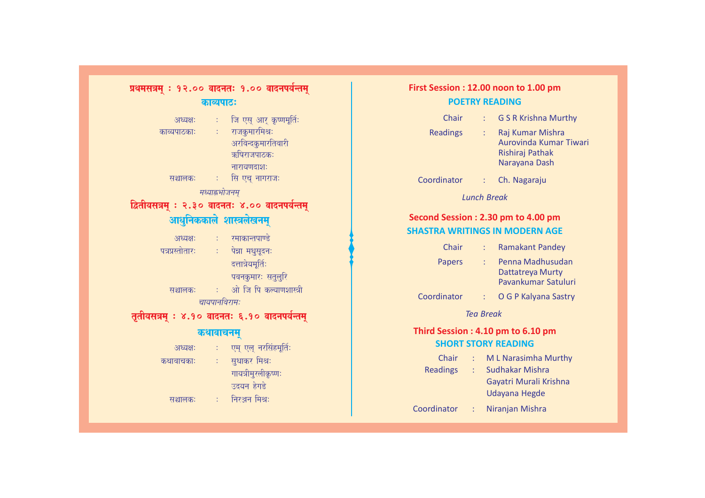| प्रथमसत्रम् : १२.०० वादनतः १.०० वादनपर्यन्तम्  |                           |                                              |  |  |
|------------------------------------------------|---------------------------|----------------------------------------------|--|--|
|                                                | काव्यपाटः                 |                                              |  |  |
| अध्यक्षः                                       |                           | ः जि एस् आर् कृष्णमूर्तिः                    |  |  |
| काव्यपाठकाः                                    |                           | ः राजकुमारमिश्रः                             |  |  |
|                                                |                           | अरविन्दकुमारतिवारी<br>ऋषिराजपाठकः            |  |  |
|                                                |                           | नारायणदाशः                                   |  |  |
| सञ्चालकः :                                     |                           | सि एच् नागराजः                               |  |  |
| मध्याह्नभोजनम्                                 |                           |                                              |  |  |
| द्वितीयसत्रम् : २.३० वादनतः ४.०० वादनपर्यन्तम् |                           |                                              |  |  |
| आधुनिककाले शास्त्रलेखनम्                       |                           |                                              |  |  |
|                                                |                           | अध्यक्षः : रमाकान्तपाण्डे                    |  |  |
|                                                |                           | पत्रप्रस्तोतारः : पेन्ना मधुसूदनः            |  |  |
|                                                |                           | दत्तात्रेयमूर्तिः                            |  |  |
|                                                |                           | पवनकुमारः सतुलुरि                            |  |  |
| सञ्चालकः                                       |                           | ं : - ओ जि पि कल्याणशास्त्री                 |  |  |
| चायपानविरामः                                   |                           |                                              |  |  |
|                                                |                           | तृतीयसत्रम् : ४.१० वादनतः ६.१० वादनपर्यन्तम् |  |  |
| कथावाचनम्                                      |                           |                                              |  |  |
| अध्यक्षः                                       | $\mathbb{R}^{n \times n}$ | एम् एल् नरसिंहमूर्तिः                        |  |  |
| कथावाचकाः                                      |                           | ः सुधाकर मिश्रः                              |  |  |
|                                                |                           | गायत्रीमुरलीकृष्णः                           |  |  |
|                                                |                           | उदयन हेगडे                                   |  |  |
| सञ्चालकः                                       | $\sim 10^{11}$            | निरञ्जन मिश्रः                               |  |  |

 $\overline{\phantom{a}}$ 

## **First Session : 12.00 noon to 1.00 pm POETRY READING** Chair : G S R Krishna Murthy Readings : Raj Kumar Mishra Aurovinda Kumar Tiwari Rishiraj Pathak Narayana Dash Coordinator : Ch. Nagaraju *Lunch Break* **Second Session : 2.30 pm to 4.00 pm SHASTRA WRITINGS IN MODERN AGE** Chair : Ramakant Pandey Papers : Penna Madhusudan

| Chair                             |    | <b>Ramakant Pandey</b>                                      |  |  |
|-----------------------------------|----|-------------------------------------------------------------|--|--|
| Papers                            | ÷  | Penna Madhusudan<br>Dattatreya Murty<br>Pavankumar Satuluri |  |  |
| Coordinator                       | t. | O G P Kalyana Sastry                                        |  |  |
| Tea Break                         |    |                                                             |  |  |
| Third Session: 4.10 pm to 6.10 pm |    |                                                             |  |  |
| <b>SHORT STORY READING</b>        |    |                                                             |  |  |
| Chair                             | ٠  | M L Narasimha Murthy                                        |  |  |
| <b>Readings</b>                   | ÷  | Sudhakar Mishra                                             |  |  |
|                                   |    | Gayatri Murali Krishna                                      |  |  |
|                                   |    | Udayana Hegde                                               |  |  |
| Coordinator                       |    | Niranjan Mishra                                             |  |  |